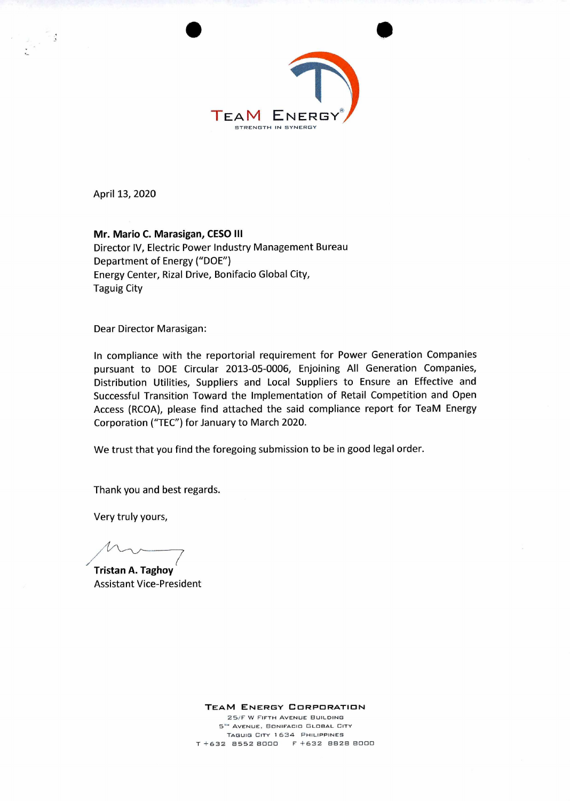

April 13, 2020

- 3

**Mr. Mario C. Marasigan, CESO III**  Director IV, Electric Power Industry Management Bureau Department of Energy ("DOE") Energy Center, Rizal Drive, Bonifacio Global City, Taguig City

Dear Director Marasigan:

In compliance with the reportorial requirement for Power Generation Companies pursuant to DOE Circular 2013-05-0006, Enjoining All Generation Companies, Distribution Utilities, Suppliers and Local Suppliers to Ensure an Effective and Successful Transition Toward the Implementation of Retail Competition and Open Access (RCOA), please find attached the said compliance report for TeaM Energy Corporation ("TEC") for January to March 2020.

We trust that you find the foregoing submission to be in good legal order.

Thank you and best regards.

Very truly yours,

**(** 

**Tristan A. Taghoy**  Assistant Vice-President

**TEAM ENERGY CORPORATION** 

25/F W FIFTH AVENUE BUILDING  $5<sup>m</sup>$  AVENUE, BONIFACIO GLOBAL CITY TAGUIG CITY 1634 PHILIPPINES T +632 8552 8000 F +632 8828 8000